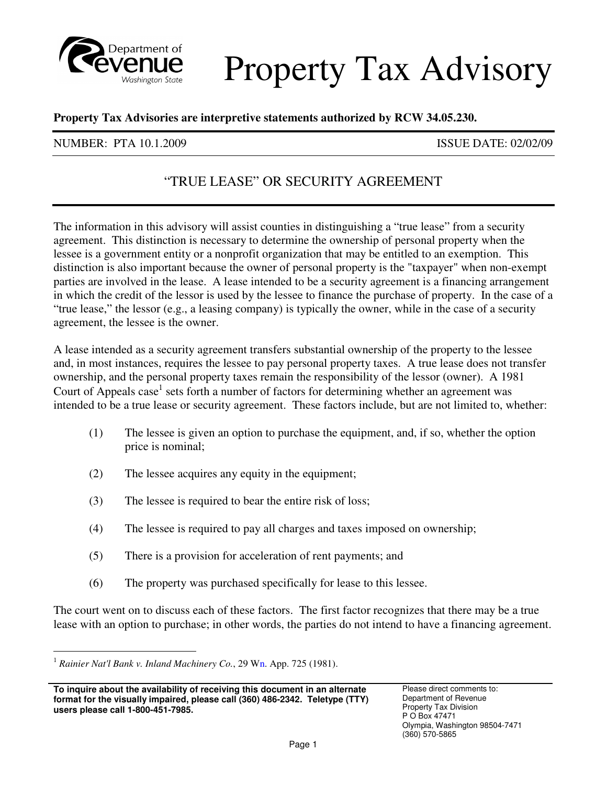

# Property Tax Advisory

### **Property Tax Advisories are interpretive statements authorized by RCW 34.05.230.**

### NUMBER: PTA 10.1.2009 ISSUE DATE: 02/02/09

## "TRUE LEASE" OR SECURITY AGREEMENT

 The information in this advisory will assist counties in distinguishing a "true lease" from a security agreement. This distinction is necessary to determine the ownership of personal property when the lessee is a government entity or a nonprofit organization that may be entitled to an exemption. This distinction is also important because the owner of personal property is the "taxpayer" when non-exempt parties are involved in the lease. A lease intended to be a security agreement is a financing arrangement in which the credit of the lessor is used by the lessee to finance the purchase of property. In the case of a "true lease," the lessor (e.g., a leasing company) is typically the owner, while in the case of a security agreement, the lessee is the owner.

 A lease intended as a security agreement transfers substantial ownership of the property to the lessee and, in most instances, requires the lessee to pay personal property taxes. A true lease does not transfer ownership, and the personal property taxes remain the responsibility of the lessor (owner). A 1981 Court of Appeals case<sup>1</sup> sets forth a number of factors for determining whether an agreement was intended to be a true lease or security agreement. These factors include, but are not limited to, whether:

- $(1)$  price is nominal; The lessee is given an option to purchase the equipment, and, if so, whether the option
- $(2)$ The lessee acquires any equity in the equipment;
- $(3)$ The lessee is required to bear the entire risk of loss;
- $(4)$ The lessee is required to pay all charges and taxes imposed on ownership;
- $(5)$ There is a provision for acceleration of rent payments; and
- (6) The property was purchased specifically for lease to this lessee.

 The court went on to discuss each of these factors. The first factor recognizes that there may be a true lease with an option to purchase; in other words, the parties do not intend to have a financing agreement.

-

<sup>&</sup>lt;sup>1</sup> Rainier Nat'l Bank v. Inland Machinery Co., 29 Wn. App. 725 (1981).

**To inquire about the availability of receiving this document in an alternate** Please direct comments to:  **format for the visually impaired, please call (360) 486-2342. Teletype (TTY)** Department of Revenue **users please call 1-800-451-7985. Property Tax Division** *S* **Construction** *Property Tax Division**P* **O Box 47471**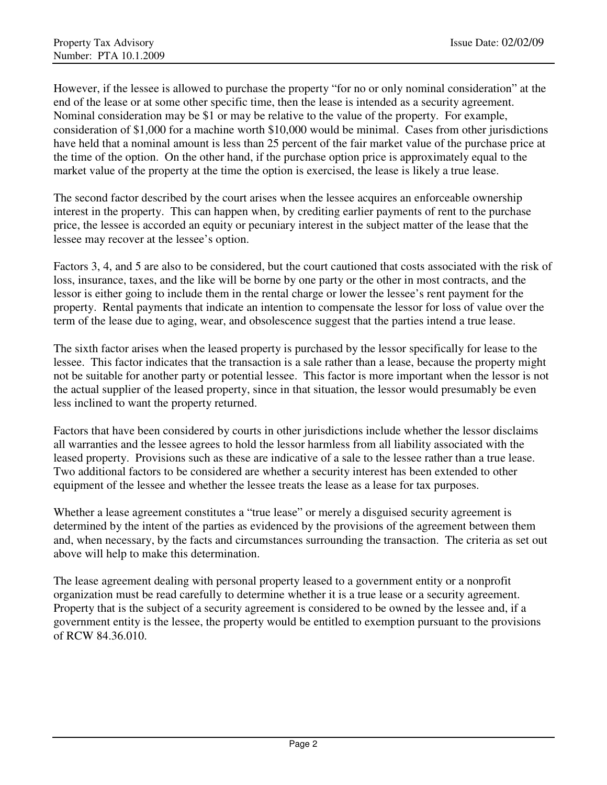However, if the lessee is allowed to purchase the property "for no or only nominal consideration" at the end of the lease or at some other specific time, then the lease is intended as a security agreement. Nominal consideration may be \$1 or may be relative to the value of the property. For example, consideration of \$1,000 for a machine worth \$10,000 would be minimal. Cases from other jurisdictions have held that a nominal amount is less than 25 percent of the fair market value of the purchase price at the time of the option. On the other hand, if the purchase option price is approximately equal to the market value of the property at the time the option is exercised, the lease is likely a true lease.

 The second factor described by the court arises when the lessee acquires an enforceable ownership interest in the property. This can happen when, by crediting earlier payments of rent to the purchase price, the lessee is accorded an equity or pecuniary interest in the subject matter of the lease that the lessee may recover at the lessee's option.

 Factors 3, 4, and 5 are also to be considered, but the court cautioned that costs associated with the risk of loss, insurance, taxes, and the like will be borne by one party or the other in most contracts, and the lessor is either going to include them in the rental charge or lower the lessee's rent payment for the property. Rental payments that indicate an intention to compensate the lessor for loss of value over the term of the lease due to aging, wear, and obsolescence suggest that the parties intend a true lease.

 The sixth factor arises when the leased property is purchased by the lessor specifically for lease to the lessee. This factor indicates that the transaction is a sale rather than a lease, because the property might not be suitable for another party or potential lessee. This factor is more important when the lessor is not the actual supplier of the leased property, since in that situation, the lessor would presumably be even less inclined to want the property returned.

 Factors that have been considered by courts in other jurisdictions include whether the lessor disclaims all warranties and the lessee agrees to hold the lessor harmless from all liability associated with the leased property. Provisions such as these are indicative of a sale to the lessee rather than a true lease. Two additional factors to be considered are whether a security interest has been extended to other equipment of the lessee and whether the lessee treats the lease as a lease for tax purposes.

 Whether a lease agreement constitutes a "true lease" or merely a disguised security agreement is determined by the intent of the parties as evidenced by the provisions of the agreement between them and, when necessary, by the facts and circumstances surrounding the transaction. The criteria as set out above will help to make this determination.

 The lease agreement dealing with personal property leased to a government entity or a nonprofit organization must be read carefully to determine whether it is a true lease or a security agreement. Property that is the subject of a security agreement is considered to be owned by the lessee and, if a government entity is the lessee, the property would be entitled to exemption pursuant to the provisions of RCW 84.36.010.